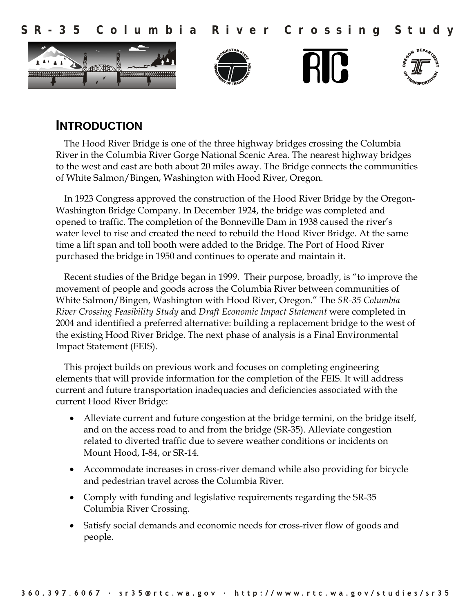

# **INTRODUCTION**

The Hood River Bridge is one of the three highway bridges crossing the Columbia River in the Columbia River Gorge National Scenic Area. The nearest highway bridges to the west and east are both about 20 miles away. The Bridge connects the communities of White Salmon/Bingen, Washington with Hood River, Oregon.

In 1923 Congress approved the construction of the Hood River Bridge by the Oregon-Washington Bridge Company. In December 1924, the bridge was completed and opened to traffic. The completion of the Bonneville Dam in 1938 caused the river's water level to rise and created the need to rebuild the Hood River Bridge. At the same time a lift span and toll booth were added to the Bridge. The Port of Hood River purchased the bridge in 1950 and continues to operate and maintain it.

Recent studies of the Bridge began in 1999. Their purpose, broadly, is "to improve the movement of people and goods across the Columbia River between communities of White Salmon/Bingen, Washington with Hood River, Oregon." The *SR-35 Columbia River Crossing Feasibility Study* and *Draft Economic Impact Statement* were completed in 2004 and identified a preferred alternative: building a replacement bridge to the west of the existing Hood River Bridge. The next phase of analysis is a Final Environmental Impact Statement (FEIS).

This project builds on previous work and focuses on completing engineering elements that will provide information for the completion of the FEIS. It will address current and future transportation inadequacies and deficiencies associated with the current Hood River Bridge:

- Alleviate current and future congestion at the bridge termini, on the bridge itself, and on the access road to and from the bridge (SR-35). Alleviate congestion related to diverted traffic due to severe weather conditions or incidents on Mount Hood, I-84, or SR-14.
- Accommodate increases in cross-river demand while also providing for bicycle and pedestrian travel across the Columbia River.
- Comply with funding and legislative requirements regarding the SR-35 Columbia River Crossing.
- Satisfy social demands and economic needs for cross-river flow of goods and people.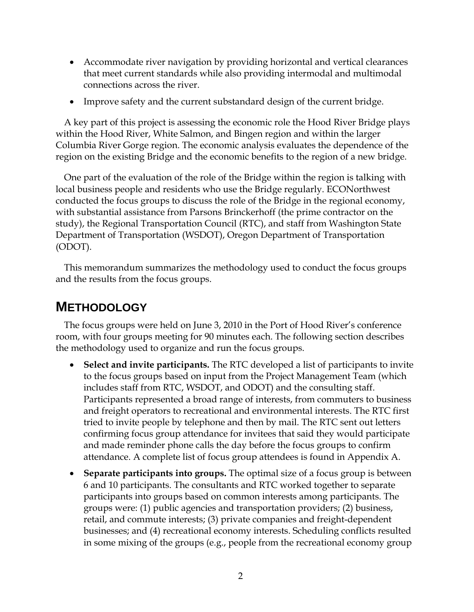- Accommodate river navigation by providing horizontal and vertical clearances that meet current standards while also providing intermodal and multimodal connections across the river.
- Improve safety and the current substandard design of the current bridge.

A key part of this project is assessing the economic role the Hood River Bridge plays within the Hood River, White Salmon, and Bingen region and within the larger Columbia River Gorge region. The economic analysis evaluates the dependence of the region on the existing Bridge and the economic benefits to the region of a new bridge.

One part of the evaluation of the role of the Bridge within the region is talking with local business people and residents who use the Bridge regularly. ECONorthwest conducted the focus groups to discuss the role of the Bridge in the regional economy, with substantial assistance from Parsons Brinckerhoff (the prime contractor on the study), the Regional Transportation Council (RTC), and staff from Washington State Department of Transportation (WSDOT), Oregon Department of Transportation (ODOT).

This memorandum summarizes the methodology used to conduct the focus groups and the results from the focus groups.

# **METHODOLOGY**

The focus groups were held on June 3, 2010 in the Port of Hood River's conference room, with four groups meeting for 90 minutes each. The following section describes the methodology used to organize and run the focus groups.

- **Select and invite participants.** The RTC developed a list of participants to invite to the focus groups based on input from the Project Management Team (which includes staff from RTC, WSDOT, and ODOT) and the consulting staff. Participants represented a broad range of interests, from commuters to business and freight operators to recreational and environmental interests. The RTC first tried to invite people by telephone and then by mail. The RTC sent out letters confirming focus group attendance for invitees that said they would participate and made reminder phone calls the day before the focus groups to confirm attendance. A complete list of focus group attendees is found in Appendix A.
- **Separate participants into groups.** The optimal size of a focus group is between 6 and 10 participants. The consultants and RTC worked together to separate participants into groups based on common interests among participants. The groups were: (1) public agencies and transportation providers; (2) business, retail, and commute interests; (3) private companies and freight-dependent businesses; and (4) recreational economy interests. Scheduling conflicts resulted in some mixing of the groups (e.g., people from the recreational economy group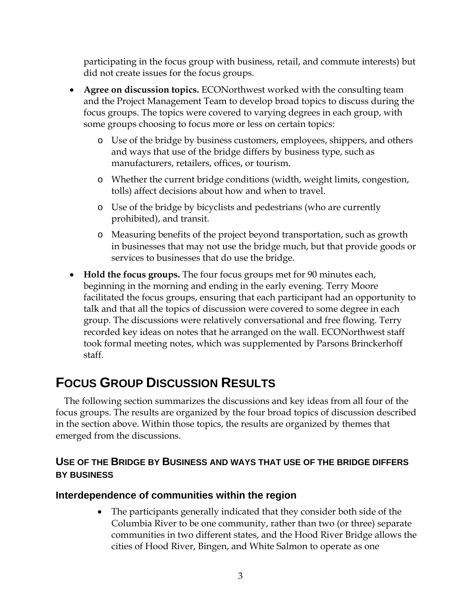participating in the focus group with business, retail, and commute interests) but did not create issues for the focus groups.

- **Agree on discussion topics.** ECONorthwest worked with the consulting team and the Project Management Team to develop broad topics to discuss during the focus groups. The topics were covered to varying degrees in each group, with some groups choosing to focus more or less on certain topics:
	- o Use of the bridge by business customers, employees, shippers, and others and ways that use of the bridge differs by business type, such as manufacturers, retailers, offices, or tourism.
	- o Whether the current bridge conditions (width, weight limits, congestion, tolls) affect decisions about how and when to travel.
	- o Use of the bridge by bicyclists and pedestrians (who are currently prohibited), and transit.
	- o Measuring benefits of the project beyond transportation, such as growth in businesses that may not use the bridge much, but that provide goods or services to businesses that do use the bridge.
- **Hold the focus groups.** The four focus groups met for 90 minutes each, beginning in the morning and ending in the early evening. Terry Moore facilitated the focus groups, ensuring that each participant had an opportunity to talk and that all the topics of discussion were covered to some degree in each group. The discussions were relatively conversational and free flowing. Terry recorded key ideas on notes that he arranged on the wall. ECONorthwest staff took formal meeting notes, which was supplemented by Parsons Brinckerhoff staff.

# **FOCUS GROUP DISCUSSION RESULTS**

The following section summarizes the discussions and key ideas from all four of the focus groups. The results are organized by the four broad topics of discussion described in the section above. Within those topics, the results are organized by themes that emerged from the discussions.

# **USE OF THE BRIDGE BY BUSINESS AND WAYS THAT USE OF THE BRIDGE DIFFERS BY BUSINESS**

# **Interdependence of communities within the region**

• The participants generally indicated that they consider both side of the Columbia River to be one community, rather than two (or three) separate communities in two different states, and the Hood River Bridge allows the cities of Hood River, Bingen, and White Salmon to operate as one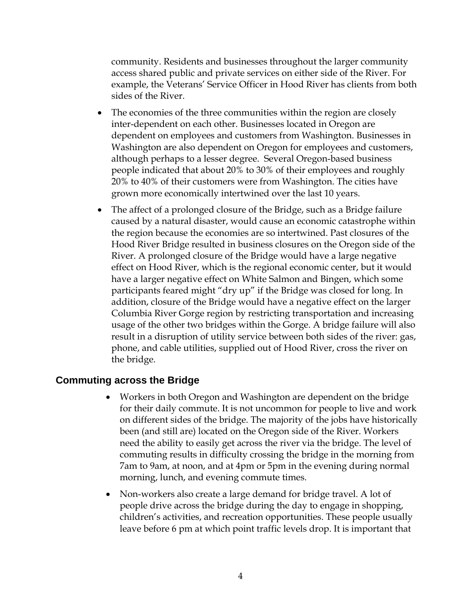community. Residents and businesses throughout the larger community access shared public and private services on either side of the River. For example, the Veterans' Service Officer in Hood River has clients from both sides of the River.

- The economies of the three communities within the region are closely inter-dependent on each other. Businesses located in Oregon are dependent on employees and customers from Washington. Businesses in Washington are also dependent on Oregon for employees and customers, although perhaps to a lesser degree. Several Oregon-based business people indicated that about 20% to 30% of their employees and roughly 20% to 40% of their customers were from Washington. The cities have grown more economically intertwined over the last 10 years.
- The affect of a prolonged closure of the Bridge, such as a Bridge failure caused by a natural disaster, would cause an economic catastrophe within the region because the economies are so intertwined. Past closures of the Hood River Bridge resulted in business closures on the Oregon side of the River. A prolonged closure of the Bridge would have a large negative effect on Hood River, which is the regional economic center, but it would have a larger negative effect on White Salmon and Bingen, which some participants feared might "dry up" if the Bridge was closed for long. In addition, closure of the Bridge would have a negative effect on the larger Columbia River Gorge region by restricting transportation and increasing usage of the other two bridges within the Gorge. A bridge failure will also result in a disruption of utility service between both sides of the river: gas, phone, and cable utilities, supplied out of Hood River, cross the river on the bridge.

#### **Commuting across the Bridge**

- Workers in both Oregon and Washington are dependent on the bridge for their daily commute. It is not uncommon for people to live and work on different sides of the bridge. The majority of the jobs have historically been (and still are) located on the Oregon side of the River. Workers need the ability to easily get across the river via the bridge. The level of commuting results in difficulty crossing the bridge in the morning from 7am to 9am, at noon, and at 4pm or 5pm in the evening during normal morning, lunch, and evening commute times.
- Non-workers also create a large demand for bridge travel. A lot of people drive across the bridge during the day to engage in shopping, children's activities, and recreation opportunities. These people usually leave before 6 pm at which point traffic levels drop. It is important that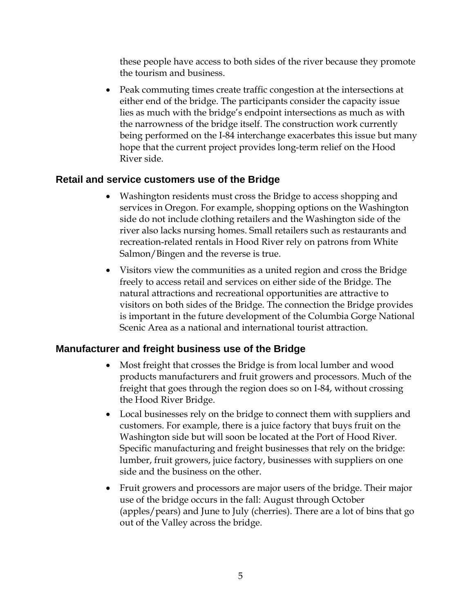these people have access to both sides of the river because they promote the tourism and business.

• Peak commuting times create traffic congestion at the intersections at either end of the bridge. The participants consider the capacity issue lies as much with the bridge's endpoint intersections as much as with the narrowness of the bridge itself. The construction work currently being performed on the I-84 interchange exacerbates this issue but many hope that the current project provides long-term relief on the Hood River side.

# **Retail and service customers use of the Bridge**

- Washington residents must cross the Bridge to access shopping and services in Oregon. For example, shopping options on the Washington side do not include clothing retailers and the Washington side of the river also lacks nursing homes. Small retailers such as restaurants and recreation-related rentals in Hood River rely on patrons from White Salmon/Bingen and the reverse is true.
- Visitors view the communities as a united region and cross the Bridge freely to access retail and services on either side of the Bridge. The natural attractions and recreational opportunities are attractive to visitors on both sides of the Bridge. The connection the Bridge provides is important in the future development of the Columbia Gorge National Scenic Area as a national and international tourist attraction.

# **Manufacturer and freight business use of the Bridge**

- Most freight that crosses the Bridge is from local lumber and wood products manufacturers and fruit growers and processors. Much of the freight that goes through the region does so on I-84, without crossing the Hood River Bridge.
- Local businesses rely on the bridge to connect them with suppliers and customers. For example, there is a juice factory that buys fruit on the Washington side but will soon be located at the Port of Hood River. Specific manufacturing and freight businesses that rely on the bridge: lumber, fruit growers, juice factory, businesses with suppliers on one side and the business on the other.
- Fruit growers and processors are major users of the bridge. Their major use of the bridge occurs in the fall: August through October (apples/pears) and June to July (cherries). There are a lot of bins that go out of the Valley across the bridge.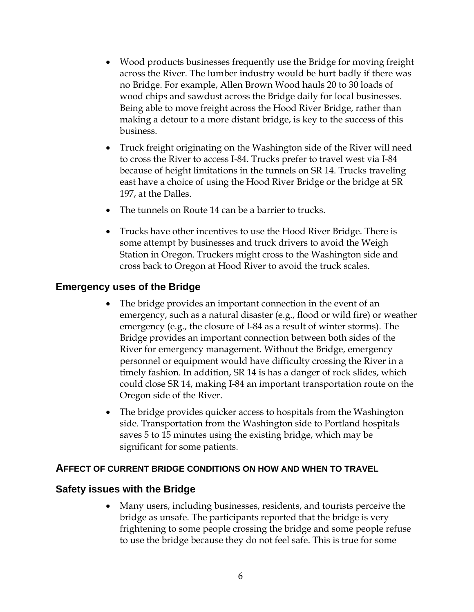- Wood products businesses frequently use the Bridge for moving freight across the River. The lumber industry would be hurt badly if there was no Bridge. For example, Allen Brown Wood hauls 20 to 30 loads of wood chips and sawdust across the Bridge daily for local businesses. Being able to move freight across the Hood River Bridge, rather than making a detour to a more distant bridge, is key to the success of this business.
- Truck freight originating on the Washington side of the River will need to cross the River to access I-84. Trucks prefer to travel west via I-84 because of height limitations in the tunnels on SR 14. Trucks traveling east have a choice of using the Hood River Bridge or the bridge at SR 197, at the Dalles.
- The tunnels on Route 14 can be a barrier to trucks.
- Trucks have other incentives to use the Hood River Bridge. There is some attempt by businesses and truck drivers to avoid the Weigh Station in Oregon. Truckers might cross to the Washington side and cross back to Oregon at Hood River to avoid the truck scales.

#### **Emergency uses of the Bridge**

- The bridge provides an important connection in the event of an emergency, such as a natural disaster (e.g., flood or wild fire) or weather emergency (e.g., the closure of I-84 as a result of winter storms). The Bridge provides an important connection between both sides of the River for emergency management. Without the Bridge, emergency personnel or equipment would have difficulty crossing the River in a timely fashion. In addition, SR 14 is has a danger of rock slides, which could close SR 14, making I-84 an important transportation route on the Oregon side of the River.
- The bridge provides quicker access to hospitals from the Washington side. Transportation from the Washington side to Portland hospitals saves 5 to 15 minutes using the existing bridge, which may be significant for some patients.

#### **AFFECT OF CURRENT BRIDGE CONDITIONS ON HOW AND WHEN TO TRAVEL**

#### **Safety issues with the Bridge**

• Many users, including businesses, residents, and tourists perceive the bridge as unsafe. The participants reported that the bridge is very frightening to some people crossing the bridge and some people refuse to use the bridge because they do not feel safe. This is true for some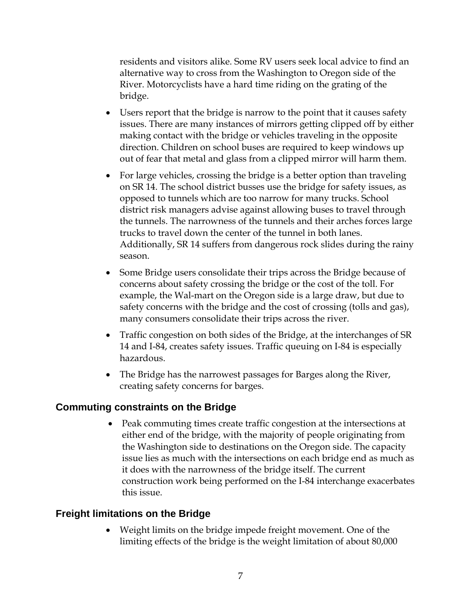residents and visitors alike. Some RV users seek local advice to find an alternative way to cross from the Washington to Oregon side of the River. Motorcyclists have a hard time riding on the grating of the bridge.

- Users report that the bridge is narrow to the point that it causes safety issues. There are many instances of mirrors getting clipped off by either making contact with the bridge or vehicles traveling in the opposite direction. Children on school buses are required to keep windows up out of fear that metal and glass from a clipped mirror will harm them.
- For large vehicles, crossing the bridge is a better option than traveling on SR 14. The school district busses use the bridge for safety issues, as opposed to tunnels which are too narrow for many trucks. School district risk managers advise against allowing buses to travel through the tunnels. The narrowness of the tunnels and their arches forces large trucks to travel down the center of the tunnel in both lanes. Additionally, SR 14 suffers from dangerous rock slides during the rainy season.
- Some Bridge users consolidate their trips across the Bridge because of concerns about safety crossing the bridge or the cost of the toll. For example, the Wal-mart on the Oregon side is a large draw, but due to safety concerns with the bridge and the cost of crossing (tolls and gas), many consumers consolidate their trips across the river.
- Traffic congestion on both sides of the Bridge, at the interchanges of SR 14 and I-84, creates safety issues. Traffic queuing on I-84 is especially hazardous.
- The Bridge has the narrowest passages for Barges along the River, creating safety concerns for barges.

# **Commuting constraints on the Bridge**

• Peak commuting times create traffic congestion at the intersections at either end of the bridge, with the majority of people originating from the Washington side to destinations on the Oregon side. The capacity issue lies as much with the intersections on each bridge end as much as it does with the narrowness of the bridge itself. The current construction work being performed on the I-84 interchange exacerbates this issue.

# **Freight limitations on the Bridge**

• Weight limits on the bridge impede freight movement. One of the limiting effects of the bridge is the weight limitation of about 80,000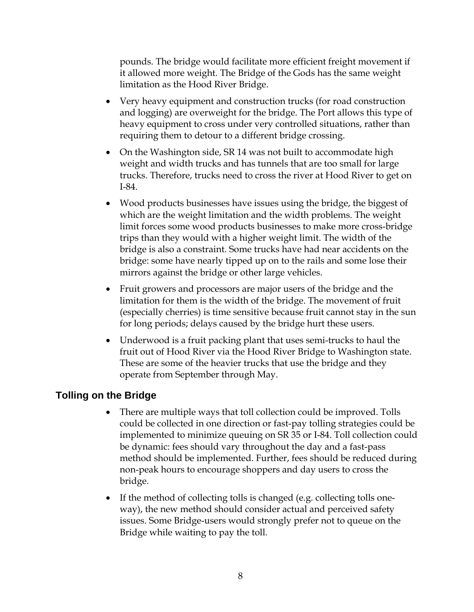pounds. The bridge would facilitate more efficient freight movement if it allowed more weight. The Bridge of the Gods has the same weight limitation as the Hood River Bridge.

- Very heavy equipment and construction trucks (for road construction and logging) are overweight for the bridge. The Port allows this type of heavy equipment to cross under very controlled situations, rather than requiring them to detour to a different bridge crossing.
- On the Washington side, SR 14 was not built to accommodate high weight and width trucks and has tunnels that are too small for large trucks. Therefore, trucks need to cross the river at Hood River to get on I-84.
- Wood products businesses have issues using the bridge, the biggest of which are the weight limitation and the width problems. The weight limit forces some wood products businesses to make more cross-bridge trips than they would with a higher weight limit. The width of the bridge is also a constraint. Some trucks have had near accidents on the bridge: some have nearly tipped up on to the rails and some lose their mirrors against the bridge or other large vehicles.
- Fruit growers and processors are major users of the bridge and the limitation for them is the width of the bridge. The movement of fruit (especially cherries) is time sensitive because fruit cannot stay in the sun for long periods; delays caused by the bridge hurt these users.
- Underwood is a fruit packing plant that uses semi-trucks to haul the fruit out of Hood River via the Hood River Bridge to Washington state. These are some of the heavier trucks that use the bridge and they operate from September through May.

# **Tolling on the Bridge**

- There are multiple ways that toll collection could be improved. Tolls could be collected in one direction or fast-pay tolling strategies could be implemented to minimize queuing on SR 35 or I-84. Toll collection could be dynamic: fees should vary throughout the day and a fast-pass method should be implemented. Further, fees should be reduced during non-peak hours to encourage shoppers and day users to cross the bridge.
- If the method of collecting tolls is changed (e.g. collecting tolls oneway), the new method should consider actual and perceived safety issues. Some Bridge-users would strongly prefer not to queue on the Bridge while waiting to pay the toll.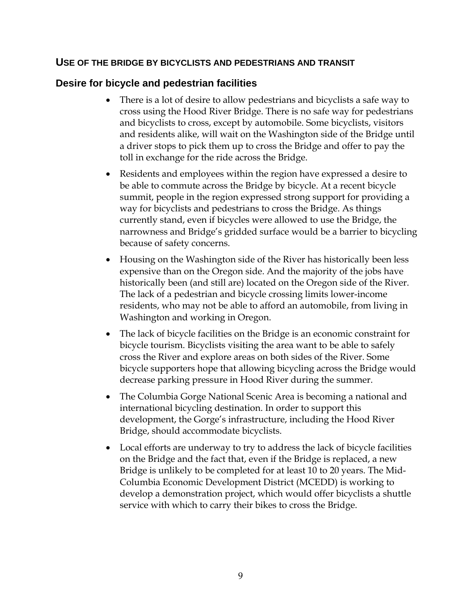#### **USE OF THE BRIDGE BY BICYCLISTS AND PEDESTRIANS AND TRANSIT**

#### **Desire for bicycle and pedestrian facilities**

- There is a lot of desire to allow pedestrians and bicyclists a safe way to cross using the Hood River Bridge. There is no safe way for pedestrians and bicyclists to cross, except by automobile. Some bicyclists, visitors and residents alike, will wait on the Washington side of the Bridge until a driver stops to pick them up to cross the Bridge and offer to pay the toll in exchange for the ride across the Bridge.
- Residents and employees within the region have expressed a desire to be able to commute across the Bridge by bicycle. At a recent bicycle summit, people in the region expressed strong support for providing a way for bicyclists and pedestrians to cross the Bridge. As things currently stand, even if bicycles were allowed to use the Bridge, the narrowness and Bridge's gridded surface would be a barrier to bicycling because of safety concerns.
- Housing on the Washington side of the River has historically been less expensive than on the Oregon side. And the majority of the jobs have historically been (and still are) located on the Oregon side of the River. The lack of a pedestrian and bicycle crossing limits lower-income residents, who may not be able to afford an automobile, from living in Washington and working in Oregon.
- The lack of bicycle facilities on the Bridge is an economic constraint for bicycle tourism. Bicyclists visiting the area want to be able to safely cross the River and explore areas on both sides of the River. Some bicycle supporters hope that allowing bicycling across the Bridge would decrease parking pressure in Hood River during the summer.
- The Columbia Gorge National Scenic Area is becoming a national and international bicycling destination. In order to support this development, the Gorge's infrastructure, including the Hood River Bridge, should accommodate bicyclists.
- Local efforts are underway to try to address the lack of bicycle facilities on the Bridge and the fact that, even if the Bridge is replaced, a new Bridge is unlikely to be completed for at least 10 to 20 years. The Mid-Columbia Economic Development District (MCEDD) is working to develop a demonstration project, which would offer bicyclists a shuttle service with which to carry their bikes to cross the Bridge.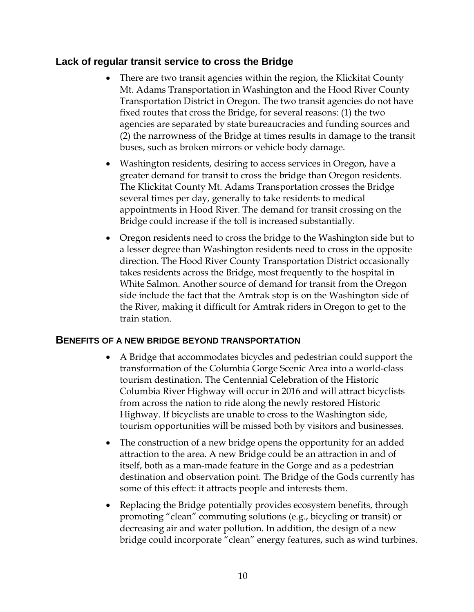### **Lack of regular transit service to cross the Bridge**

- There are two transit agencies within the region, the Klickitat County Mt. Adams Transportation in Washington and the Hood River County Transportation District in Oregon. The two transit agencies do not have fixed routes that cross the Bridge, for several reasons: (1) the two agencies are separated by state bureaucracies and funding sources and (2) the narrowness of the Bridge at times results in damage to the transit buses, such as broken mirrors or vehicle body damage.
- Washington residents, desiring to access services in Oregon, have a greater demand for transit to cross the bridge than Oregon residents. The Klickitat County Mt. Adams Transportation crosses the Bridge several times per day, generally to take residents to medical appointments in Hood River. The demand for transit crossing on the Bridge could increase if the toll is increased substantially.
- Oregon residents need to cross the bridge to the Washington side but to a lesser degree than Washington residents need to cross in the opposite direction. The Hood River County Transportation District occasionally takes residents across the Bridge, most frequently to the hospital in White Salmon. Another source of demand for transit from the Oregon side include the fact that the Amtrak stop is on the Washington side of the River, making it difficult for Amtrak riders in Oregon to get to the train station.

#### **BENEFITS OF A NEW BRIDGE BEYOND TRANSPORTATION**

- A Bridge that accommodates bicycles and pedestrian could support the transformation of the Columbia Gorge Scenic Area into a world-class tourism destination. The Centennial Celebration of the Historic Columbia River Highway will occur in 2016 and will attract bicyclists from across the nation to ride along the newly restored Historic Highway. If bicyclists are unable to cross to the Washington side, tourism opportunities will be missed both by visitors and businesses.
- The construction of a new bridge opens the opportunity for an added attraction to the area. A new Bridge could be an attraction in and of itself, both as a man-made feature in the Gorge and as a pedestrian destination and observation point. The Bridge of the Gods currently has some of this effect: it attracts people and interests them.
- Replacing the Bridge potentially provides ecosystem benefits, through promoting "clean" commuting solutions (e.g., bicycling or transit) or decreasing air and water pollution. In addition, the design of a new bridge could incorporate "clean" energy features, such as wind turbines.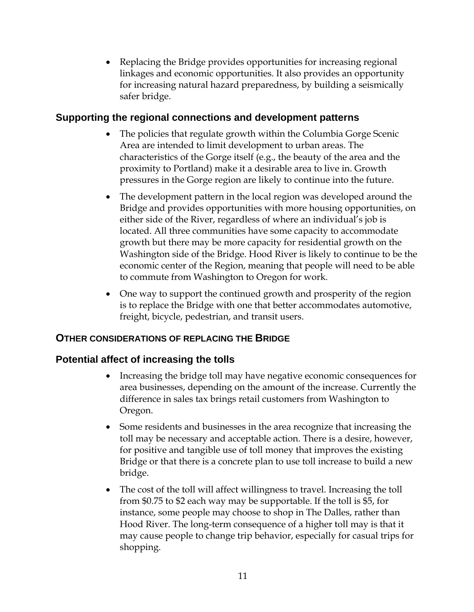• Replacing the Bridge provides opportunities for increasing regional linkages and economic opportunities. It also provides an opportunity for increasing natural hazard preparedness, by building a seismically safer bridge.

### **Supporting the regional connections and development patterns**

- The policies that regulate growth within the Columbia Gorge Scenic Area are intended to limit development to urban areas. The characteristics of the Gorge itself (e.g., the beauty of the area and the proximity to Portland) make it a desirable area to live in. Growth pressures in the Gorge region are likely to continue into the future.
- The development pattern in the local region was developed around the Bridge and provides opportunities with more housing opportunities, on either side of the River, regardless of where an individual's job is located. All three communities have some capacity to accommodate growth but there may be more capacity for residential growth on the Washington side of the Bridge. Hood River is likely to continue to be the economic center of the Region, meaning that people will need to be able to commute from Washington to Oregon for work.
- One way to support the continued growth and prosperity of the region is to replace the Bridge with one that better accommodates automotive, freight, bicycle, pedestrian, and transit users.

#### **OTHER CONSIDERATIONS OF REPLACING THE BRIDGE**

#### **Potential affect of increasing the tolls**

- Increasing the bridge toll may have negative economic consequences for area businesses, depending on the amount of the increase. Currently the difference in sales tax brings retail customers from Washington to Oregon.
- Some residents and businesses in the area recognize that increasing the toll may be necessary and acceptable action. There is a desire, however, for positive and tangible use of toll money that improves the existing Bridge or that there is a concrete plan to use toll increase to build a new bridge.
- The cost of the toll will affect willingness to travel. Increasing the toll from \$0.75 to \$2 each way may be supportable. If the toll is \$5, for instance, some people may choose to shop in The Dalles, rather than Hood River. The long-term consequence of a higher toll may is that it may cause people to change trip behavior, especially for casual trips for shopping.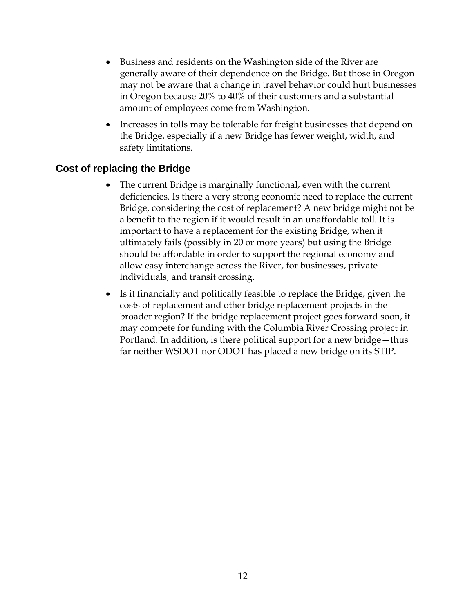- Business and residents on the Washington side of the River are generally aware of their dependence on the Bridge. But those in Oregon may not be aware that a change in travel behavior could hurt businesses in Oregon because 20% to 40% of their customers and a substantial amount of employees come from Washington.
- Increases in tolls may be tolerable for freight businesses that depend on the Bridge, especially if a new Bridge has fewer weight, width, and safety limitations.

# **Cost of replacing the Bridge**

- The current Bridge is marginally functional, even with the current deficiencies. Is there a very strong economic need to replace the current Bridge, considering the cost of replacement? A new bridge might not be a benefit to the region if it would result in an unaffordable toll. It is important to have a replacement for the existing Bridge, when it ultimately fails (possibly in 20 or more years) but using the Bridge should be affordable in order to support the regional economy and allow easy interchange across the River, for businesses, private individuals, and transit crossing.
- Is it financially and politically feasible to replace the Bridge, given the costs of replacement and other bridge replacement projects in the broader region? If the bridge replacement project goes forward soon, it may compete for funding with the Columbia River Crossing project in Portland. In addition, is there political support for a new bridge—thus far neither WSDOT nor ODOT has placed a new bridge on its STIP.